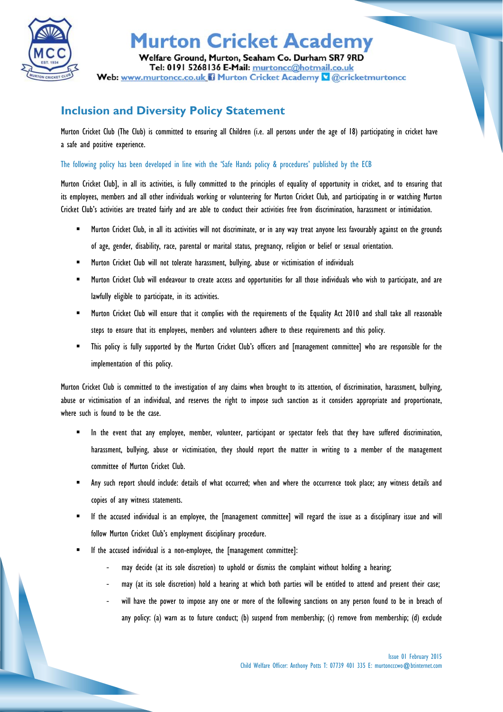

## **Murton Cricket Academy**

Welfare Ground, Murton, Seaham Co. Durham SR7 9RD Tel: 0191 5268136 E-Mail: murtoncc@hotmail.co.uk Web: www.murtoncc.co.uk il Murton Cricket Academy & @cricketmurtoncc

## **Inclusion and Diversity Policy Statement**

Murton Cricket Club (The Club) is committed to ensuring all Children (i.e. all persons under the age of 18) participating in cricket have a safe and positive experience.

The following policy has been developed in line with the 'Safe Hands policy & procedures' published by the ECB

Murton Cricket Club], in all its activities, is fully committed to the principles of equality of opportunity in cricket, and to ensuring that its employees, members and all other individuals working or volunteering for Murton Cricket Club, and participating in or watching Murton Cricket Club's activities are treated fairly and are able to conduct their activities free from discrimination, harassment or intimidation.

- " Murton Cricket Club, in all its activities will not discriminate, or in any way treat anyone less favourably against on the grounds of age, gender, disability, race, parental or marital status, pregnancy, religion or belief or sexual orientation.
- **EXECT** Murton Cricket Club will not tolerate harassment, bullying, abuse or victimisation of individuals
- Murton Cricket Club will endeavour to create access and opportunities for all those individuals who wish to participate, and are lawfully eligible to participate, in its activities.
- Murton Cricket Club will ensure that it complies with the requirements of the Equality Act 2010 and shall take all reasonable steps to ensure that its employees, members and volunteers adhere to these requirements and this policy.
- This policy is fully supported by the Murton Cricket Club's officers and [management committee] who are responsible for the implementation of this policy.

Murton Cricket Club is committed to the investigation of any claims when brought to its attention, of discrimination, harassment, bullying, abuse or victimisation of an individual, and reserves the right to impose such sanction as it considers appropriate and proportionate, where such is found to be the case.

- In the event that any employee, member, volunteer, participant or spectator feels that they have suffered discrimination, harassment, bullying, abuse or victimisation, they should report the matter in writing to a member of the management committee of Murton Cricket Club.
- Any such report should include: details of what occurred; when and where the occurrence took place; any witness details and copies of any witness statements.
- If the accused individual is an employee, the [management committee] will regard the issue as a disciplinary issue and will follow Murton Cricket Club's employment disciplinary procedure.
- If the accused individual is a non-employee, the [management committee]:
	- may decide (at its sole discretion) to uphold or dismiss the complaint without holding a hearing;
	- may (at its sole discretion) hold a hearing at which both parties will be entitled to attend and present their case;
	- will have the power to impose any one or more of the following sanctions on any person found to be in breach of any policy: (a) warn as to future conduct; (b) suspend from membership; (c) remove from membership; (d) exclude